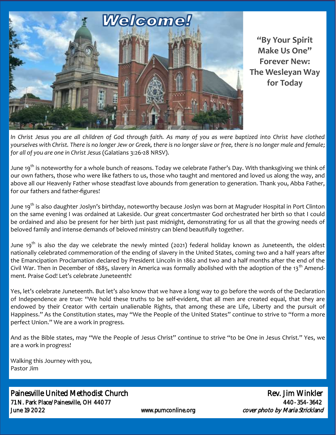

**"By Your Spirit Make Us One" Forever New: The Wesleyan Way for Today**

In Christ Jesus you are all children of God through faith. As many of you as were baptized into Christ have clothed *yourselves with Christ. There is no longer Jew or Greek, there is no longer slave or free, there is no longer male and female; for all of you are one in Christ Jesus* (Galatians 3:26-28 NRSV).

June 19<sup>th</sup> is noteworthy for a whole bunch of reasons. Today we celebrate Father's Day. With thanksgiving we think of our own fathers, those who were like fathers to us, those who taught and mentored and loved us along the way, and above all our Heavenly Father whose steadfast love abounds from generation to generation. Thank you, Abba Father, for our fathers and father-figures!

June 19<sup>th</sup> is also daughter Joslyn's birthday, noteworthy because Joslyn was born at Magruder Hospital in Port Clinton on the same evening I was ordained at Lakeside. Our great concertmaster God orchestrated her birth so that I could be ordained and also be present for her birth just past midnight, demonstrating for us all that the growing needs of beloved family and intense demands of beloved ministry can blend beautifully together.

June 19<sup>th</sup> is also the day we celebrate the newly minted (2021) federal holiday known as Juneteenth, the oldest nationally celebrated commemoration of the ending of slavery in the United States, coming two and a half years after the Emancipation Proclamation declared by President Lincoln in 1862 and two and a half months after the end of the Civil War. Then in December of 1885, slavery in America was formally abolished with the adoption of the 13<sup>th</sup> Amendment. Praise God! Let's celebrate Juneteenth!

Yes, let's celebrate Juneteenth. But let's also know that we have a long way to go before the words of the Declaration of Independence are true: "We hold these truths to be self-evident, that all men are created equal, that they are endowed by their Creator with certain unalienable Rights, that among these are Life, Liberty and the pursuit of Happiness." As the Constitution states, may "We the People of the United States" continue to strive to "form a more perfect Union." We are a work in progress.

And as the Bible states, may "We the People of Jesus Christ" continue to strive "to be One in Jesus Christ." Yes, we are a work in progress!

Walking this Journey with you, Pastor Jim

Painesville United Methodist Church **Rev. 3** and Rev. Jim Winkler 71 N. Park Place/Painesville, OH 44077 440-354-3642 June 19 2022 **WWW.pumconline.org** cover photo by Maria Strickland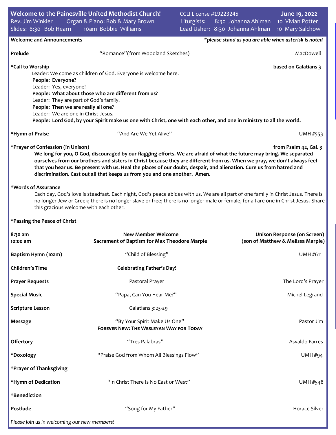| Welcome to the Painesville United Methodist Church!<br>Rev. Jim Winkler<br>Slides: 8:30 Bob Hearn                                                                                                                                                                                                                                                                                                                                                                                                                     | Organ & Piano: Bob & Mary Brown<br>10am Bobbie Williams                        | <b>CCLI License #19223245</b><br>Liturgists: |  | 8:30 Johanna Ahlman 10 Vivian Potter | June 19, 2022<br>Lead Usher: 8:30 Johanna Ahlman 10 Mary Salchow        |  |  |
|-----------------------------------------------------------------------------------------------------------------------------------------------------------------------------------------------------------------------------------------------------------------------------------------------------------------------------------------------------------------------------------------------------------------------------------------------------------------------------------------------------------------------|--------------------------------------------------------------------------------|----------------------------------------------|--|--------------------------------------|-------------------------------------------------------------------------|--|--|
| <b>Welcome and Announcements</b><br>*please stand as you are able when asterisk is noted                                                                                                                                                                                                                                                                                                                                                                                                                              |                                                                                |                                              |  |                                      |                                                                         |  |  |
| Prelude                                                                                                                                                                                                                                                                                                                                                                                                                                                                                                               | "Romance" (from Woodland Sketches)                                             |                                              |  |                                      | MacDowell                                                               |  |  |
| *Call to Worship<br>based on Galatians 3<br>Leader: We come as children of God. Everyone is welcome here.<br>People: Everyone?<br>Leader: Yes, everyone!<br>People: What about those who are different from us?<br>Leader: They are part of God's family.<br>People: Then we are really all one?<br>Leader: We are one in Christ Jesus.<br>People: Lord God, by your Spirit make us one with Christ, one with each other, and one in ministry to all the world.                                                       |                                                                                |                                              |  |                                      |                                                                         |  |  |
| *Hymn of Praise                                                                                                                                                                                                                                                                                                                                                                                                                                                                                                       | "And Are We Yet Alive"                                                         |                                              |  |                                      | UMH #553                                                                |  |  |
| *Prayer of Confession (in Unison)<br>from Psalm 42, Gal. 3<br>We long for you, O God, discouraged by our flagging efforts. We are afraid of what the future may bring. We separated<br>ourselves from our brothers and sisters in Christ because they are different from us. When we pray, we don't always feel<br>that you hear us. Be present with us. Heal the places of our doubt, despair, and alienation. Cure us from hatred and<br>discrimination. Cast out all that keeps us from you and one another. Amen. |                                                                                |                                              |  |                                      |                                                                         |  |  |
| *Words of Assurance<br>Each day, God's love is steadfast. Each night, God's peace abides with us. We are all part of one family in Christ Jesus. There is<br>no longer Jew or Greek; there is no longer slave or free; there is no longer male or female, for all are one in Christ Jesus. Share<br>this gracious welcome with each other.                                                                                                                                                                            |                                                                                |                                              |  |                                      |                                                                         |  |  |
| *Passing the Peace of Christ                                                                                                                                                                                                                                                                                                                                                                                                                                                                                          |                                                                                |                                              |  |                                      |                                                                         |  |  |
| 8:30 am<br>10:00 am                                                                                                                                                                                                                                                                                                                                                                                                                                                                                                   | <b>New Member Welcome</b><br>Sacrament of Baptism for Max Theodore Marple      |                                              |  |                                      | <b>Unison Response (on Screen)</b><br>(son of Matthew & Melissa Marple) |  |  |
| Baptism Hymn (10am)                                                                                                                                                                                                                                                                                                                                                                                                                                                                                                   | "Child of Blessing"                                                            |                                              |  |                                      | <b>UMH #611</b>                                                         |  |  |
| <b>Children's Time</b>                                                                                                                                                                                                                                                                                                                                                                                                                                                                                                | <b>Celebrating Father's Day!</b>                                               |                                              |  |                                      |                                                                         |  |  |
| <b>Prayer Requests</b>                                                                                                                                                                                                                                                                                                                                                                                                                                                                                                | Pastoral Prayer                                                                |                                              |  |                                      | The Lord's Prayer                                                       |  |  |
| <b>Special Music</b>                                                                                                                                                                                                                                                                                                                                                                                                                                                                                                  | "Papa, Can You Hear Me?"                                                       |                                              |  |                                      | Michel Legrand                                                          |  |  |
| <b>Scripture Lesson</b>                                                                                                                                                                                                                                                                                                                                                                                                                                                                                               | Galatians 3:23-29                                                              |                                              |  |                                      |                                                                         |  |  |
| Message                                                                                                                                                                                                                                                                                                                                                                                                                                                                                                               | "By Your Spirit Make Us One"<br><b>FOREVER NEW: THE WESLEYAN WAY FOR TODAY</b> |                                              |  |                                      | Pastor Jim                                                              |  |  |
| Offertory                                                                                                                                                                                                                                                                                                                                                                                                                                                                                                             | "Tres Palabras"                                                                |                                              |  |                                      | Asvaldo Farres                                                          |  |  |
| *Doxology                                                                                                                                                                                                                                                                                                                                                                                                                                                                                                             | "Praise God from Whom All Blessings Flow"                                      |                                              |  |                                      | UMH#94                                                                  |  |  |
| *Prayer of Thanksgiving                                                                                                                                                                                                                                                                                                                                                                                                                                                                                               |                                                                                |                                              |  |                                      |                                                                         |  |  |
| *Hymn of Dedication                                                                                                                                                                                                                                                                                                                                                                                                                                                                                                   | "In Christ There Is No East or West"                                           |                                              |  |                                      | UMH #548                                                                |  |  |
| *Benediction                                                                                                                                                                                                                                                                                                                                                                                                                                                                                                          |                                                                                |                                              |  |                                      |                                                                         |  |  |
| Postlude                                                                                                                                                                                                                                                                                                                                                                                                                                                                                                              | "Song for My Father"                                                           |                                              |  |                                      | Horace Silver                                                           |  |  |
| Please join us in welcoming our new members!                                                                                                                                                                                                                                                                                                                                                                                                                                                                          |                                                                                |                                              |  |                                      |                                                                         |  |  |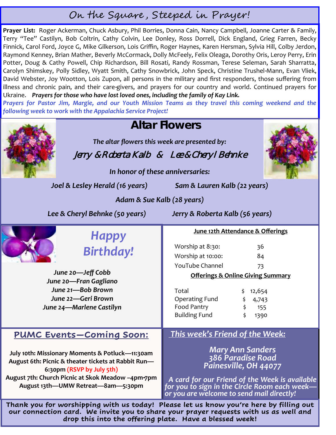# On the Square , Steeped in Prayer!

**Prayer List:** Roger Ackerman, Chuck Asbury, Phil Borries, Donna Cain, Nancy Campbell, Joanne Carter & Family, Terry "Tee" Castilyn, Bob Coltrin, Cathy Colvin, Lee Donley, Ross Dorrell, Dick England, Grieg Farren, Becky Finnick, Carol Ford, Joyce G, Mike Gilkerson, Lois Griffin, Roger Haynes, Karen Hersman, Sylvia Hill, Colby Jerdon, Raymond Kenney, Brian Mather, Beverly McCormack, Dolly McFeely, Felix Oleaga, Dorothy Oris, Leroy Perry, Erin Potter, Doug & Cathy Powell, Chip Richardson, Bill Rosati, Randy Rossman, Terese Seleman, Sarah Sharratta, Carolyn Shimskey, Polly Sidley, Wyatt Smith, Cathy Snowbrick, John Speck, Christine Trushel-Mann, Evan Vliek, David Webster, Joy Wootton, Lois Zupon, all persons in the military and first responders, those suffering from illness and chronic pain, and their care-givers, and prayers for our country and world. Continued prayers for Ukraine. *Prayers for those who have lost loved ones, including the family of Kay Link.*

*Prayers for Pastor Jim, Margie, and our Youth Mission Teams as they travel this coming weekend and the following week to work with the Appalachia Service Project!*

## *This week's Friend of the Week: Mary Ann Sanders 386 Paradise Road Painesville, OH 44077 A card for our Friend of the Week is available for you to sign in the Circle Room each week or you are welcome to send mail directly!* **June 12th Attendance & Offerings** Worship at 8:30: 36 Worship at 10:00: 84 YouTube Channel 73 **Offerings & Online Giving Summary** Total  $\qquad \qquad$  \$ 12,654 Operating Fund \$ 4,743 Food Pantry  $\qquad \qquad$ \$ 155 Building Fund \$ 1390 **Altar Flowers**  *The altar flowers this week are presented by:* Jerry & Roberta Kalb & Lee & Cheryl Behnke *In honor of these anniversaries: Joel & Lesley Herald (16 years) Sam & Lauren Kalb (22 years) Adam & Sue Kalb (28 years) Lee & Cheryl Behnke (50 years) Jerry & Roberta Kalb (56 years) Happy Birthday! June 20—Jeff Cobb June 20—Fran Gagliano June 21—Bob Brown June 22—Geri Brown June 24—Marlene Castilyn* **PUMC Events—Coming Soon: July 10th: Missionary Moments & Potluck—11:30am August 6th: Picnic & theater tickets at Rabbit Run— 6:30pm (RSVP by July 5th) August 7th: Church Picnic at Skok Meadow –4pm-7pm August 13th—UMW Retreat—8am—5:30pm Thank you for worshipping with us today! Please let us know you're here by filling out our connection card. We invite you to share your prayer requests with us as well and drop this into the offering plate. Have a blessed week!**